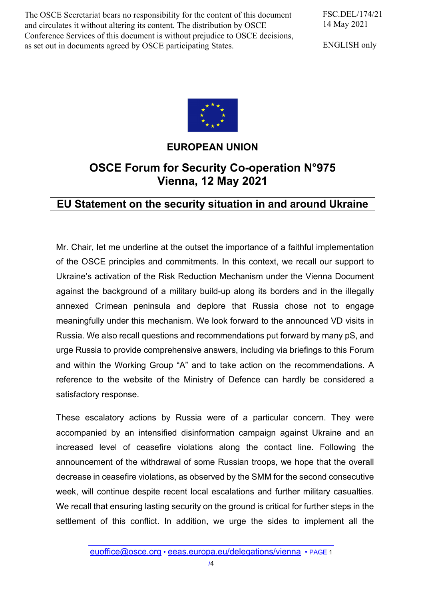The OSCE Secretariat bears no responsibility for the content of this document and circulates it without altering its content. The distribution by OSCE Conference Services of this document is without prejudice to OSCE decisions, as set out in documents agreed by OSCE participating States.

FSC.DEL/174/21 14 May 2021

ENGLISH only



## **EUROPEAN UNION**

## **OSCE Forum for Security Co-operation N°975 Vienna, 12 May 2021**

## **EU Statement on the security situation in and around Ukraine**

Mr. Chair, let me underline at the outset the importance of a faithful implementation of the OSCE principles and commitments. In this context, we recall our support to Ukraine's activation of the Risk Reduction Mechanism under the Vienna Document against the background of a military build-up along its borders and in the illegally annexed Crimean peninsula and deplore that Russia chose not to engage meaningfully under this mechanism. We look forward to the announced VD visits in Russia. We also recall questions and recommendations put forward by many pS, and urge Russia to provide comprehensive answers, including via briefings to this Forum and within the Working Group "A" and to take action on the recommendations. A reference to the website of the Ministry of Defence can hardly be considered a satisfactory response.

These escalatory actions by Russia were of a particular concern. They were accompanied by an intensified disinformation campaign against Ukraine and an increased level of ceasefire violations along the contact line. Following the announcement of the withdrawal of some Russian troops, we hope that the overall decrease in ceasefire violations, as observed by the SMM for the second consecutive week, will continue despite recent local escalations and further military casualties. We recall that ensuring lasting security on the ground is critical for further steps in the settlement of this conflict. In addition, we urge the sides to implement all the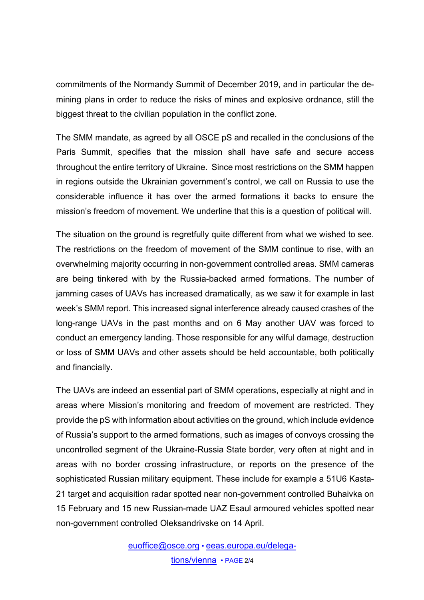commitments of the Normandy Summit of December 2019, and in particular the demining plans in order to reduce the risks of mines and explosive ordnance, still the biggest threat to the civilian population in the conflict zone.

The SMM mandate, as agreed by all OSCE pS and recalled in the conclusions of the Paris Summit, specifies that the mission shall have safe and secure access throughout the entire territory of Ukraine. Since most restrictions on the SMM happen in regions outside the Ukrainian government's control, we call on Russia to use the considerable influence it has over the armed formations it backs to ensure the mission's freedom of movement. We underline that this is a question of political will.

The situation on the ground is regretfully quite different from what we wished to see. The restrictions on the freedom of movement of the SMM continue to rise, with an overwhelming majority occurring in non-government controlled areas. SMM cameras are being tinkered with by the Russia-backed armed formations. The number of jamming cases of UAVs has increased dramatically, as we saw it for example in last week's SMM report. This increased signal interference already caused crashes of the long-range UAVs in the past months and on 6 May another UAV was forced to conduct an emergency landing. Those responsible for any wilful damage, destruction or loss of SMM UAVs and other assets should be held accountable, both politically and financially.

The UAVs are indeed an essential part of SMM operations, especially at night and in areas where Mission's monitoring and freedom of movement are restricted. They provide the pS with information about activities on the ground, which include evidence of Russia's support to the armed formations, such as images of convoys crossing the uncontrolled segment of the Ukraine-Russia State border, very often at night and in areas with no border crossing infrastructure, or reports on the presence of the sophisticated Russian military equipment. These include for example a 51U6 Kasta-21 target and acquisition radar spotted near non-government controlled Buhaivka on 15 February and 15 new Russian-made UAZ Esaul armoured vehicles spotted near non-government controlled Oleksandrivske on 14 April.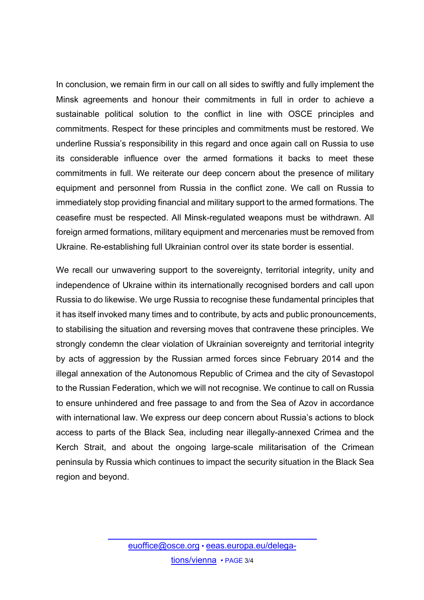In conclusion, we remain firm in our call on all sides to swiftly and fully implement the Minsk agreements and honour their commitments in full in order to achieve a sustainable political solution to the conflict in line with OSCE principles and commitments. Respect for these principles and commitments must be restored. We underline Russia's responsibility in this regard and once again call on Russia to use its considerable influence over the armed formations it backs to meet these commitments in full. We reiterate our deep concern about the presence of military equipment and personnel from Russia in the conflict zone. We call on Russia to immediately stop providing financial and military support to the armed formations. The ceasefire must be respected. All Minsk-regulated weapons must be withdrawn. All foreign armed formations, military equipment and mercenaries must be removed from Ukraine. Re-establishing full Ukrainian control over its state border is essential.

We recall our unwavering support to the sovereignty, territorial integrity, unity and independence of Ukraine within its internationally recognised borders and call upon Russia to do likewise. We urge Russia to recognise these fundamental principles that it has itself invoked many times and to contribute, by acts and public pronouncements, to stabilising the situation and reversing moves that contravene these principles. We strongly condemn the clear violation of Ukrainian sovereignty and territorial integrity by acts of aggression by the Russian armed forces since February 2014 and the illegal annexation of the Autonomous Republic of Crimea and the city of Sevastopol to the Russian Federation, which we will not recognise. We continue to call on Russia to ensure unhindered and free passage to and from the Sea of Azov in accordance with international law. We express our deep concern about Russia's actions to block access to parts of the Black Sea, including near illegally-annexed Crimea and the Kerch Strait, and about the ongoing large-scale militarisation of the Crimean peninsula by Russia which continues to impact the security situation in the Black Sea region and beyond.